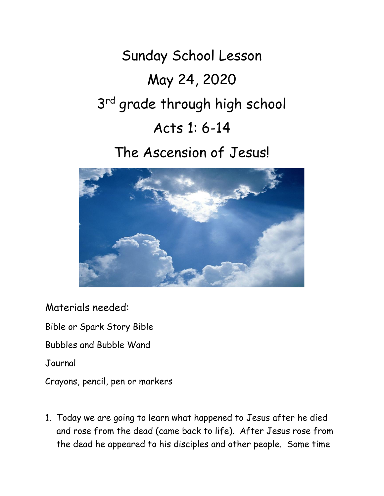Sunday School Lesson May 24, 2020 3<sup>rd</sup> grade through high school Acts 1: 6-14

# The Ascension of Jesus!



Materials needed: Bible or Spark Story Bible Bubbles and Bubble Wand Journal Crayons, pencil, pen or markers

1. Today we are going to learn what happened to Jesus after he died and rose from the dead (came back to life). After Jesus rose from the dead he appeared to his disciples and other people. Some time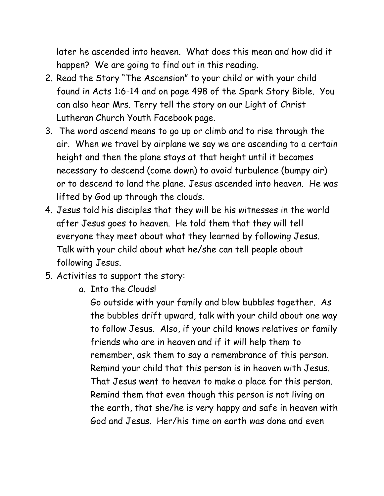later he ascended into heaven. What does this mean and how did it happen? We are going to find out in this reading.

- 2. Read the Story "The Ascension" to your child or with your child found in Acts 1:6-14 and on page 498 of the Spark Story Bible. You can also hear Mrs. Terry tell the story on our Light of Christ Lutheran Church Youth Facebook page.
- 3. The word ascend means to go up or climb and to rise through the air. When we travel by airplane we say we are ascending to a certain height and then the plane stays at that height until it becomes necessary to descend (come down) to avoid turbulence (bumpy air) or to descend to land the plane. Jesus ascended into heaven. He was lifted by God up through the clouds.
- 4. Jesus told his disciples that they will be his witnesses in the world after Jesus goes to heaven. He told them that they will tell everyone they meet about what they learned by following Jesus. Talk with your child about what he/she can tell people about following Jesus.
- 5. Activities to support the story:
	- a. Into the Clouds!

Go outside with your family and blow bubbles together. As the bubbles drift upward, talk with your child about one way to follow Jesus. Also, if your child knows relatives or family friends who are in heaven and if it will help them to remember, ask them to say a remembrance of this person. Remind your child that this person is in heaven with Jesus. That Jesus went to heaven to make a place for this person. Remind them that even though this person is not living on the earth, that she/he is very happy and safe in heaven with God and Jesus. Her/his time on earth was done and even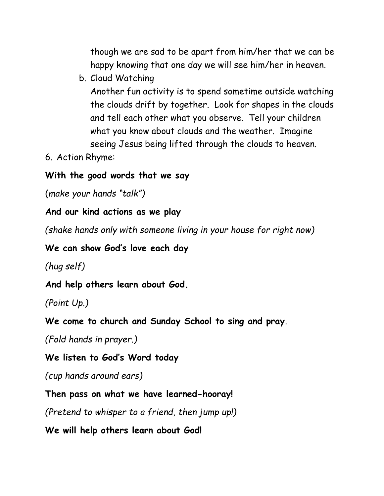though we are sad to be apart from him/her that we can be happy knowing that one day we will see him/her in heaven.

b. Cloud Watching

Another fun activity is to spend sometime outside watching the clouds drift by together. Look for shapes in the clouds and tell each other what you observe. Tell your children what you know about clouds and the weather. Imagine seeing Jesus being lifted through the clouds to heaven.

6. Action Rhyme:

#### **With the good words that we say**

(*make your hands "talk")*

## **And our kind actions as we play**

*(shake hands only with someone living in your house for right now)*

**We can show God's love each day**

*(hug self)*

**And help others learn about God.**

*(Point Up.)*

**We come to church and Sunday School to sing and pray**.

*(Fold hands in prayer.)*

### **We listen to God's Word today**

*(cup hands around ears)*

**Then pass on what we have learned-hooray!**

*(Pretend to whisper to a friend, then jump up!)*

**We will help others learn about God!**